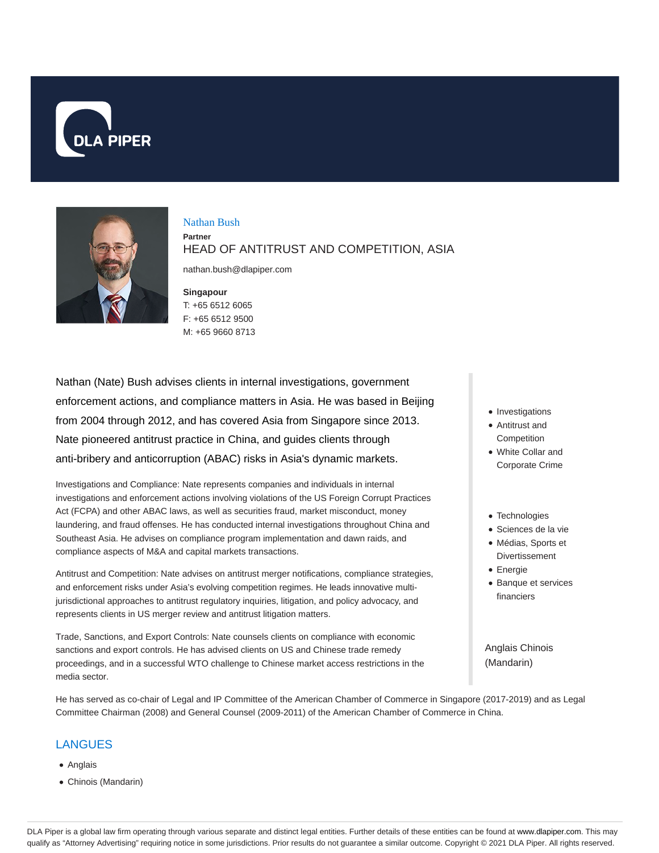



# Nathan Bush

**Partner** HEAD OF ANTITRUST AND COMPETITION, ASIA

nathan.bush@dlapiper.com

### **Singapour**

## T: +65 6512 6065 F: +65 6512 9500 M: +65 9660 8713

Nathan (Nate) Bush advises clients in internal investigations, government enforcement actions, and compliance matters in Asia. He was based in Beijing from 2004 through 2012, and has covered Asia from Singapore since 2013. Nate pioneered antitrust practice in China, and guides clients through anti-bribery and anticorruption (ABAC) risks in Asia's dynamic markets.

Investigations and Compliance: Nate represents companies and individuals in internal investigations and enforcement actions involving violations of the US Foreign Corrupt Practices Act (FCPA) and other ABAC laws, as well as securities fraud, market misconduct, money laundering, and fraud offenses. He has conducted internal investigations throughout China and Southeast Asia. He advises on compliance program implementation and dawn raids, and compliance aspects of M&A and capital markets transactions.

Antitrust and Competition: Nate advises on antitrust merger notifications, compliance strategies, and enforcement risks under Asia's evolving competition regimes. He leads innovative multijurisdictional approaches to antitrust regulatory inquiries, litigation, and policy advocacy, and represents clients in US merger review and antitrust litigation matters.

Trade, Sanctions, and Export Controls: Nate counsels clients on compliance with economic sanctions and export controls. He has advised clients on US and Chinese trade remedy proceedings, and in a successful WTO challenge to Chinese market access restrictions in the media sector.

He has served as co-chair of Legal and IP Committee of the American Chamber of Commerce in Singapore (2017-2019) and as Legal Committee Chairman (2008) and General Counsel (2009-2011) of the American Chamber of Commerce in China.

## LANGUES

- Anglais
- Chinois (Mandarin)
- Investigations
- Antitrust and **Competition**
- White Collar and Corporate Crime
- Technologies
- Sciences de la vie
- Médias, Sports et Divertissement
- Energie
- Banque et services financiers

Anglais Chinois (Mandarin)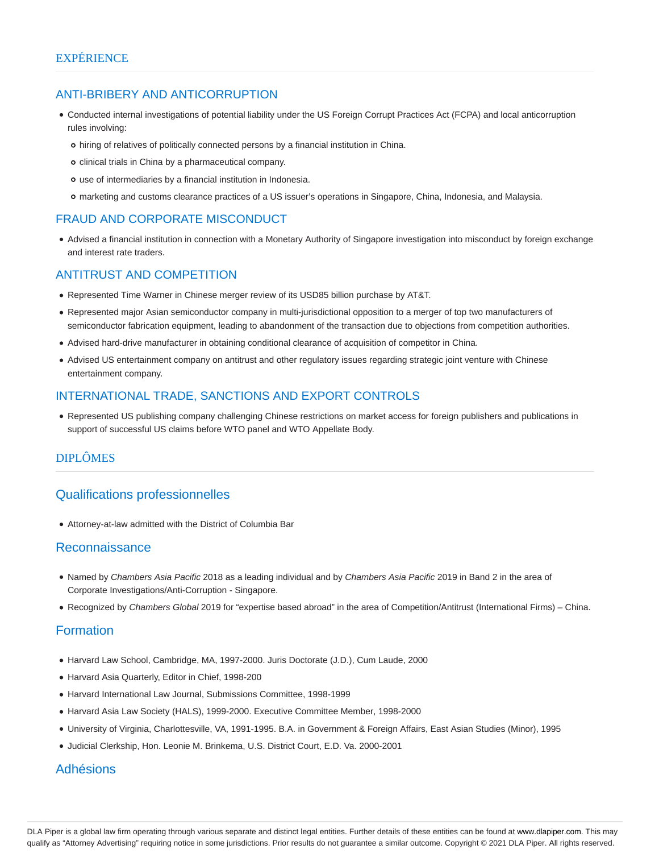## ANTI-BRIBERY AND ANTICORRUPTION

- Conducted internal investigations of potential liability under the US Foreign Corrupt Practices Act (FCPA) and local anticorruption rules involving:
	- hiring of relatives of politically connected persons by a financial institution in China.
	- o clinical trials in China by a pharmaceutical company.
	- use of intermediaries by a financial institution in Indonesia.
	- marketing and customs clearance practices of a US issuer's operations in Singapore, China, Indonesia, and Malaysia.

## FRAUD AND CORPORATE MISCONDUCT

Advised a financial institution in connection with a Monetary Authority of Singapore investigation into misconduct by foreign exchange and interest rate traders.

## ANTITRUST AND COMPETITION

- Represented Time Warner in Chinese merger review of its USD85 billion purchase by AT&T.
- Represented major Asian semiconductor company in multi-jurisdictional opposition to a merger of top two manufacturers of semiconductor fabrication equipment, leading to abandonment of the transaction due to objections from competition authorities.
- Advised hard-drive manufacturer in obtaining conditional clearance of acquisition of competitor in China.
- Advised US entertainment company on antitrust and other regulatory issues regarding strategic joint venture with Chinese entertainment company.

## INTERNATIONAL TRADE, SANCTIONS AND EXPORT CONTROLS

Represented US publishing company challenging Chinese restrictions on market access for foreign publishers and publications in support of successful US claims before WTO panel and WTO Appellate Body.

## DIPLÔMES

## Qualifications professionnelles

Attorney-at-law admitted with the District of Columbia Bar

### Reconnaissance

- Named by Chambers Asia Pacific 2018 as a leading individual and by Chambers Asia Pacific 2019 in Band 2 in the area of Corporate Investigations/Anti-Corruption - Singapore.
- Recognized by Chambers Global 2019 for "expertise based abroad" in the area of Competition/Antitrust (International Firms) China.

## Formation

- Harvard Law School, Cambridge, MA, 1997-2000. Juris Doctorate (J.D.), Cum Laude, 2000
- Harvard Asia Quarterly, Editor in Chief, 1998-200
- Harvard International Law Journal, Submissions Committee, 1998-1999
- Harvard Asia Law Society (HALS), 1999-2000. Executive Committee Member, 1998-2000
- University of Virginia, Charlottesville, VA, 1991-1995. B.A. in Government & Foreign Affairs, East Asian Studies (Minor), 1995
- Judicial Clerkship, Hon. Leonie M. Brinkema, U.S. District Court, E.D. Va. 2000-2001

### Adhésions

DLA Piper is a global law firm operating through various separate and distinct legal entities. Further details of these entities can be found at www.dlapiper.com. This may qualify as "Attorney Advertising" requiring notice in some jurisdictions. Prior results do not guarantee a similar outcome. Copyright © 2021 DLA Piper. All rights reserved.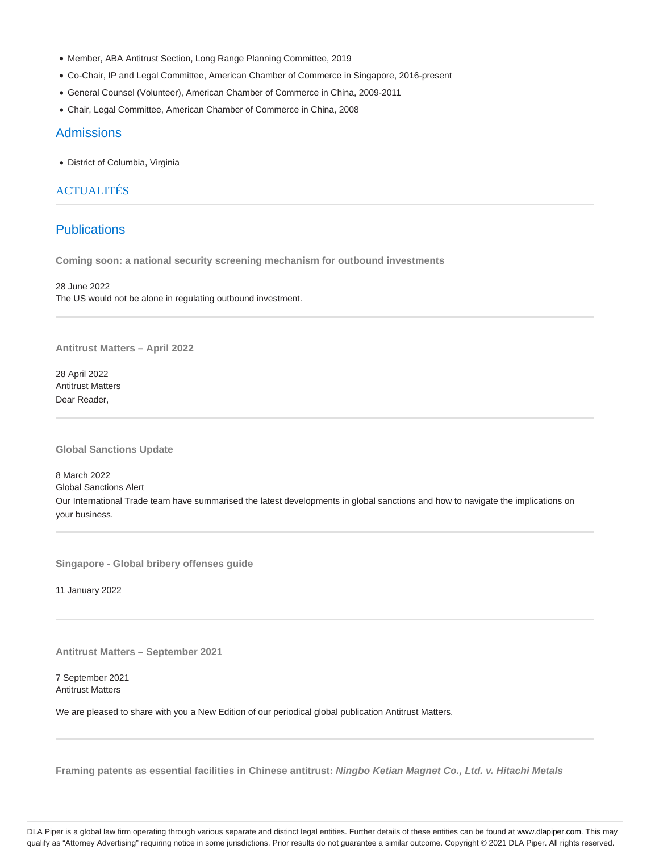- Member, ABA Antitrust Section, Long Range Planning Committee, 2019
- Co-Chair, IP and Legal Committee, American Chamber of Commerce in Singapore, 2016-present
- General Counsel (Volunteer), American Chamber of Commerce in China, 2009-2011
- Chair, Legal Committee, American Chamber of Commerce in China, 2008

### **Admissions**

District of Columbia, Virginia

## ACTUALITÉS

## **Publications**

**Coming soon: a national security screening mechanism for outbound investments**

28 June 2022 The US would not be alone in regulating outbound investment.

**Antitrust Matters – April 2022**

28 April 2022 Antitrust Matters Dear Reader,

**Global Sanctions Update**

8 March 2022 Global Sanctions Alert Our International Trade team have summarised the latest developments in global sanctions and how to navigate the implications on your business.

**Singapore - Global bribery offenses guide**

11 January 2022

**Antitrust Matters – September 2021**

7 September 2021 Antitrust Matters

We are pleased to share with you a New Edition of our periodical global publication Antitrust Matters.

**Framing patents as essential facilities in Chinese antitrust: Ningbo Ketian Magnet Co., Ltd. v. Hitachi Metals**

DLA Piper is a global law firm operating through various separate and distinct legal entities. Further details of these entities can be found at www.dlapiper.com. This may qualify as "Attorney Advertising" requiring notice in some jurisdictions. Prior results do not guarantee a similar outcome. Copyright @ 2021 DLA Piper. All rights reserved.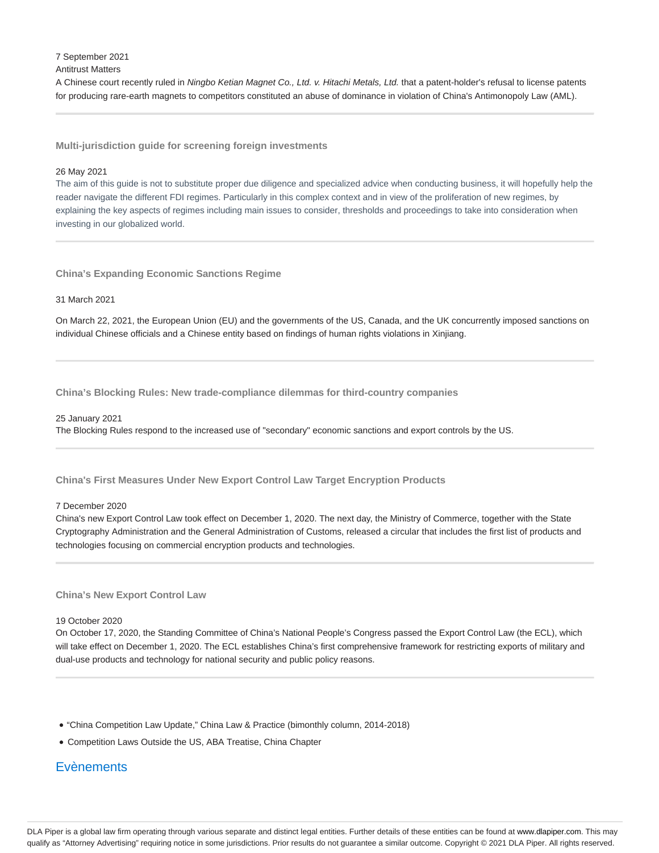7 September 2021

### Antitrust Matters

A Chinese court recently ruled in Ningbo Ketian Magnet Co., Ltd. v. Hitachi Metals, Ltd. that a patent-holder's refusal to license patents for producing rare-earth magnets to competitors constituted an abuse of dominance in violation of China's Antimonopoly Law (AML).

**Multi-jurisdiction guide for screening foreign investments**

#### 26 May 2021

The aim of this guide is not to substitute proper due diligence and specialized advice when conducting business, it will hopefully help the reader navigate the different FDI regimes. Particularly in this complex context and in view of the proliferation of new regimes, by explaining the key aspects of regimes including main issues to consider, thresholds and proceedings to take into consideration when investing in our globalized world.

**China's Expanding Economic Sanctions Regime**

### 31 March 2021

On March 22, 2021, the European Union (EU) and the governments of the US, Canada, and the UK concurrently imposed sanctions on individual Chinese officials and a Chinese entity based on findings of human rights violations in Xinjiang.

**China's Blocking Rules: New trade-compliance dilemmas for third-country companies**

#### 25 January 2021

The Blocking Rules respond to the increased use of "secondary" economic sanctions and export controls by the US.

### **China's First Measures Under New Export Control Law Target Encryption Products**

#### 7 December 2020

China's new Export Control Law took effect on December 1, 2020. The next day, the Ministry of Commerce, together with the State Cryptography Administration and the General Administration of Customs, released a circular that includes the first list of products and technologies focusing on commercial encryption products and technologies.

### **China's New Export Control Law**

#### 19 October 2020

On October 17, 2020, the Standing Committee of China's National People's Congress passed the Export Control Law (the ECL), which will take effect on December 1, 2020. The ECL establishes China's first comprehensive framework for restricting exports of military and dual-use products and technology for national security and public policy reasons.

- "China Competition Law Update," China Law & Practice (bimonthly column, 2014-2018)
- Competition Laws Outside the US, ABA Treatise, China Chapter

## **Evènements**

DLA Piper is a global law firm operating through various separate and distinct legal entities. Further details of these entities can be found at www.dlapiper.com. This may qualify as "Attorney Advertising" requiring notice in some jurisdictions. Prior results do not guarantee a similar outcome. Copyright @ 2021 DLA Piper. All rights reserved.